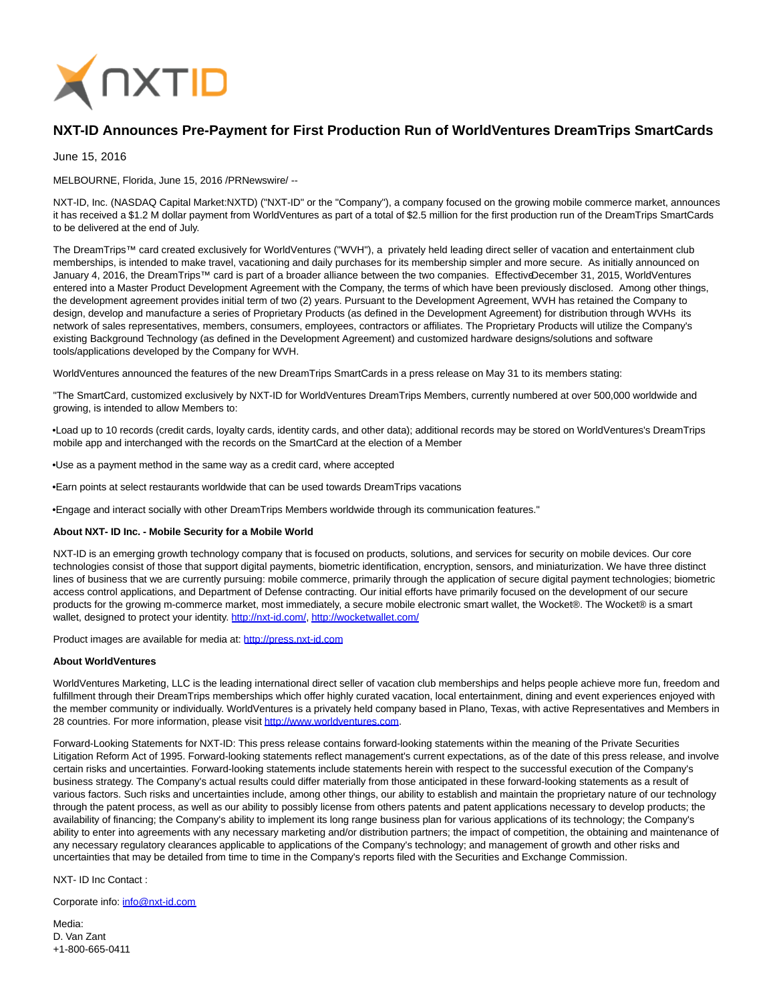

## **NXT-ID Announces Pre-Payment for First Production Run of WorldVentures DreamTrips SmartCards**

June 15, 2016

MELBOURNE, Florida, June 15, 2016 /PRNewswire/ --

NXT-ID, Inc. (NASDAQ Capital Market:NXTD) ("NXT-ID" or the "Company"), a company focused on the growing mobile commerce market, announces it has received a \$1.2 M dollar payment from WorldVentures as part of a total of \$2.5 million for the first production run of the DreamTrips SmartCards to be delivered at the end of July.

The DreamTrips™ card created exclusively for WorldVentures ("WVH"), a privately held leading direct seller of vacation and entertainment club memberships, is intended to make travel, vacationing and daily purchases for its membership simpler and more secure. As initially announced on January 4, 2016, the DreamTrips™ card is part of a broader alliance between the two companies. Effective December 31, 2015, WorldVentures entered into a Master Product Development Agreement with the Company, the terms of which have been previously disclosed. Among other things, the development agreement provides initial term of two (2) years. Pursuant to the Development Agreement, WVH has retained the Company to design, develop and manufacture a series of Proprietary Products (as defined in the Development Agreement) for distribution through WVHs its network of sales representatives, members, consumers, employees, contractors or affiliates. The Proprietary Products will utilize the Company's existing Background Technology (as defined in the Development Agreement) and customized hardware designs/solutions and software tools/applications developed by the Company for WVH.

WorldVentures announced the features of the new DreamTrips SmartCards in a press release on May 31 to its members stating:

"The SmartCard, customized exclusively by NXT-ID for WorldVentures DreamTrips Members, currently numbered at over 500,000 worldwide and growing, is intended to allow Members to:

•Load up to 10 records (credit cards, loyalty cards, identity cards, and other data); additional records may be stored on WorldVentures's DreamTrips mobile app and interchanged with the records on the SmartCard at the election of a Member

•Use as a payment method in the same way as a credit card, where accepted

•Earn points at select restaurants worldwide that can be used towards DreamTrips vacations

•Engage and interact socially with other DreamTrips Members worldwide through its communication features."

## **About NXT- ID Inc. - Mobile Security for a Mobile World**

NXT-ID is an emerging growth technology company that is focused on products, solutions, and services for security on mobile devices. Our core technologies consist of those that support digital payments, biometric identification, encryption, sensors, and miniaturization. We have three distinct lines of business that we are currently pursuing: mobile commerce, primarily through the application of secure digital payment technologies; biometric access control applications, and Department of Defense contracting. Our initial efforts have primarily focused on the development of our secure products for the growing m-commerce market, most immediately, a secure mobile electronic smart wallet, the Wocket®. The Wocket® is a smart wallet, designed to protect your identity. [http://nxt-id.com/,](http://nxt-id.com/)<http://wocketwallet.com/>

Product images are available for media at: [http://press.nxt-id.com](http://press.nxt-id.com/)

## **About WorldVentures**

WorldVentures Marketing, LLC is the leading international direct seller of vacation club memberships and helps people achieve more fun, freedom and fulfillment through their DreamTrips memberships which offer highly curated vacation, local entertainment, dining and event experiences enjoyed with the member community or individually. WorldVentures is a privately held company based in Plano, Texas, with active Representatives and Members in 28 countries. For more information, please visit [http://www.worldventures.com.](http://www.worldventures.com/)

Forward-Looking Statements for NXT-ID: This press release contains forward-looking statements within the meaning of the Private Securities Litigation Reform Act of 1995. Forward-looking statements reflect management's current expectations, as of the date of this press release, and involve certain risks and uncertainties. Forward-looking statements include statements herein with respect to the successful execution of the Company's business strategy. The Company's actual results could differ materially from those anticipated in these forward-looking statements as a result of various factors. Such risks and uncertainties include, among other things, our ability to establish and maintain the proprietary nature of our technology through the patent process, as well as our ability to possibly license from others patents and patent applications necessary to develop products; the availability of financing; the Company's ability to implement its long range business plan for various applications of its technology; the Company's ability to enter into agreements with any necessary marketing and/or distribution partners; the impact of competition, the obtaining and maintenance of any necessary regulatory clearances applicable to applications of the Company's technology; and management of growth and other risks and uncertainties that may be detailed from time to time in the Company's reports filed with the Securities and Exchange Commission.

NXT- ID Inc Contact :

Corporate info: [info@nxt-id.com](mailto:info@nxt-id.com)

Media<sup>.</sup> D. Van Zant +1-800-665-0411